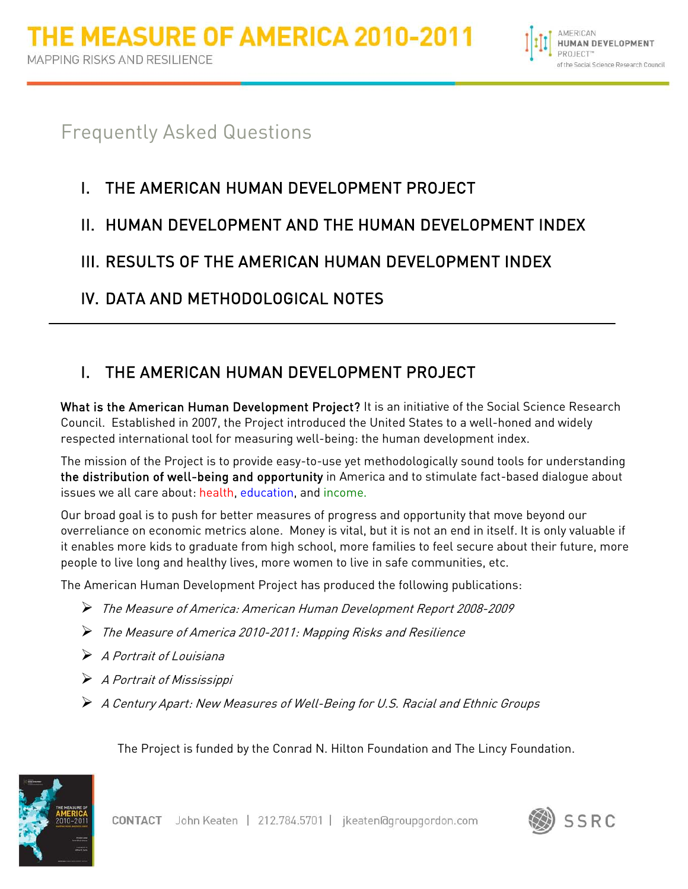

# Frequently Asked Questions

# I. THE AMERICAN HUMAN DEVELOPMENT PROJECT

## II. HUMAN DEVELOPMENT AND THE HUMAN DEVELOPMENT INDEX

## III. RESULTS OF THE AMERICAN HUMAN DEVELOPMENT INDEX

## IV. DATA AND METHODOLOGICAL NOTES

# I. THE AMERICAN HUMAN DEVELOPMENT PROJECT

What is the American Human Development Project? It is an initiative of the Social Science Research Council. Established in 2007, the Project introduced the United States to a well-honed and widely respected international tool for measuring well-being: the human development index.

The mission of the Project is to provide easy-to-use yet methodologically sound tools for understanding the distribution of well-being and opportunity in America and to stimulate fact-based dialogue about issues we all care about: health, education, and income.

Our broad goal is to push for better measures of progress and opportunity that move beyond our overreliance on economic metrics alone. Money is vital, but it is not an end in itself. It is only valuable if it enables more kids to graduate from high school, more families to feel secure about their future, more people to live long and healthy lives, more women to live in safe communities, etc.

The American Human Development Project has produced the following publications:

- The Measure of America: American Human Development Report 2008-2009
- The Measure of America 2010-2011: Mapping Risks and Resilience
- $\triangleright$  A Portrait of Louisiana
- A Portrait of Mississippi
- A Century Apart: New Measures of Well-Being for U.S. Racial and Ethnic Groups

The Project is funded by the Conrad N. Hilton Foundation and The Lincy Foundation.



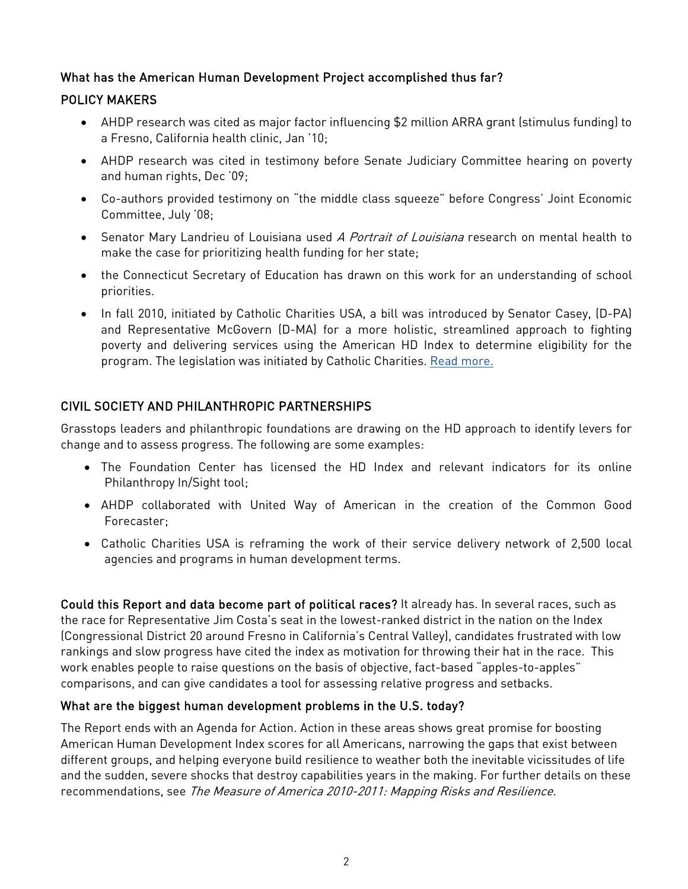## What has the American Human Development Project accomplished thus far?

## POLICY MAKERS

- AHDP research was cited as major factor influencing \$2 million ARRA grant (stimulus funding) to a Fresno, California health clinic, Jan '10;
- AHDP research was cited in testimony before Senate Judiciary Committee hearing on poverty and human rights, Dec '09;
- Co-authors provided testimony on "the middle class squeeze" before Congress' Joint Economic Committee, July '08;
- Senator Mary Landrieu of Louisiana used A Portrait of Louisiana research on mental health to make the case for prioritizing health funding for her state;
- the Connecticut Secretary of Education has drawn on this work for an understanding of school priorities.
- In fall 2010, initiated by Catholic Charities USA, a bill was introduced by Senator Casey, (D-PA) and Representative McGovern (D-MA) for a more holistic, streamlined approach to fighting poverty and delivering services using the American HD Index to determine eligibility for the program. The legislation was initiated by Catholic Charities. [Read more.](http://ahdp.cmail2.com/t/y/i/cihdiy/l/t)

## CIVIL SOCIETY AND PHILANTHROPIC PARTNERSHIPS

Grasstops leaders and philanthropic foundations are drawing on the HD approach to identify levers for change and to assess progress. The following are some examples:

- The Foundation Center has licensed the HD Index and relevant indicators for its online Philanthropy In/Sight tool;
- AHDP collaborated with United Way of American in the creation of the Common Good Forecaster;
- Catholic Charities USA is reframing the work of their service delivery network of 2,500 local agencies and programs in human development terms.

Could this Report and data become part of political races? It already has. In several races, such as the race for Representative Jim Costa's seat in the lowest-ranked district in the nation on the Index (Congressional District 20 around Fresno in California's Central Valley), candidates frustrated with low rankings and slow progress have cited the index as motivation for throwing their hat in the race. This work enables people to raise questions on the basis of objective, fact-based "apples-to-apples" comparisons, and can give candidates a tool for assessing relative progress and setbacks.

### What are the biggest human development problems in the U.S. today?

The Report ends with an Agenda for Action. Action in these areas shows great promise for boosting American Human Development Index scores for all Americans, narrowing the gaps that exist between different groups, and helping everyone build resilience to weather both the inevitable vicissitudes of life and the sudden, severe shocks that destroy capabilities years in the making. For further details on these recommendations, see The Measure of America 2010-2011: Mapping Risks and Resilience.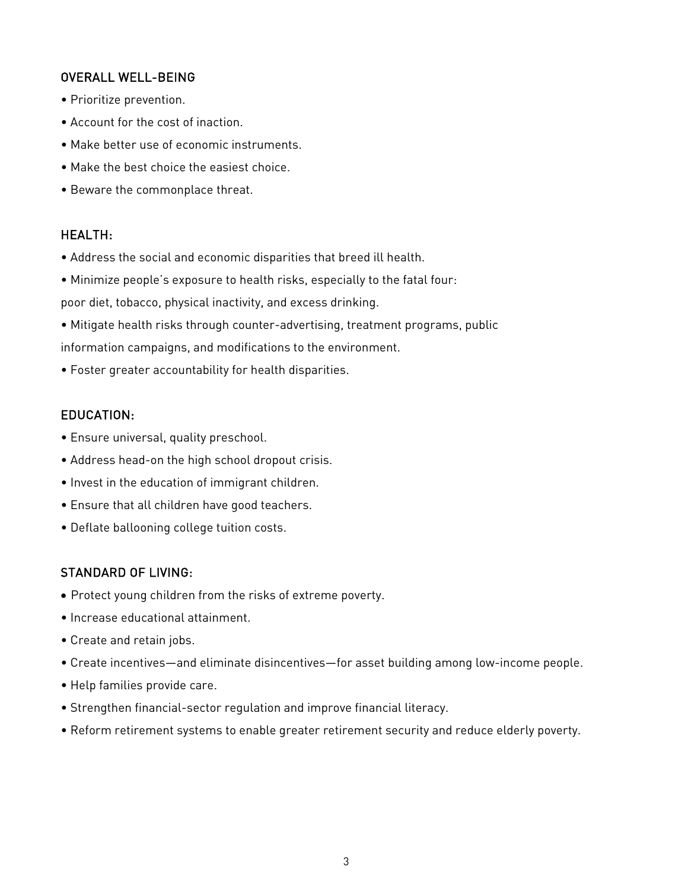## OVERALL WELL-BEING

- Prioritize prevention.
- Account for the cost of inaction.
- Make better use of economic instruments.
- Make the best choice the easiest choice.
- Beware the commonplace threat.

#### HEALTH:

- Address the social and economic disparities that breed ill health.
- Minimize people's exposure to health risks, especially to the fatal four:

poor diet, tobacco, physical inactivity, and excess drinking.

- Mitigate health risks through counter-advertising, treatment programs, public information campaigns, and modifications to the environment.
- Foster greater accountability for health disparities.

#### EDUCATION:

- Ensure universal, quality preschool.
- Address head-on the high school dropout crisis.
- Invest in the education of immigrant children.
- Ensure that all children have good teachers.
- Deflate ballooning college tuition costs.

### STANDARD OF LIVING:

- Protect young children from the risks of extreme poverty.
- Increase educational attainment.
- Create and retain jobs.
- Create incentives—and eliminate disincentives—for asset building among low-income people.
- Help families provide care.
- Strengthen financial-sector regulation and improve financial literacy.
- Reform retirement systems to enable greater retirement security and reduce elderly poverty.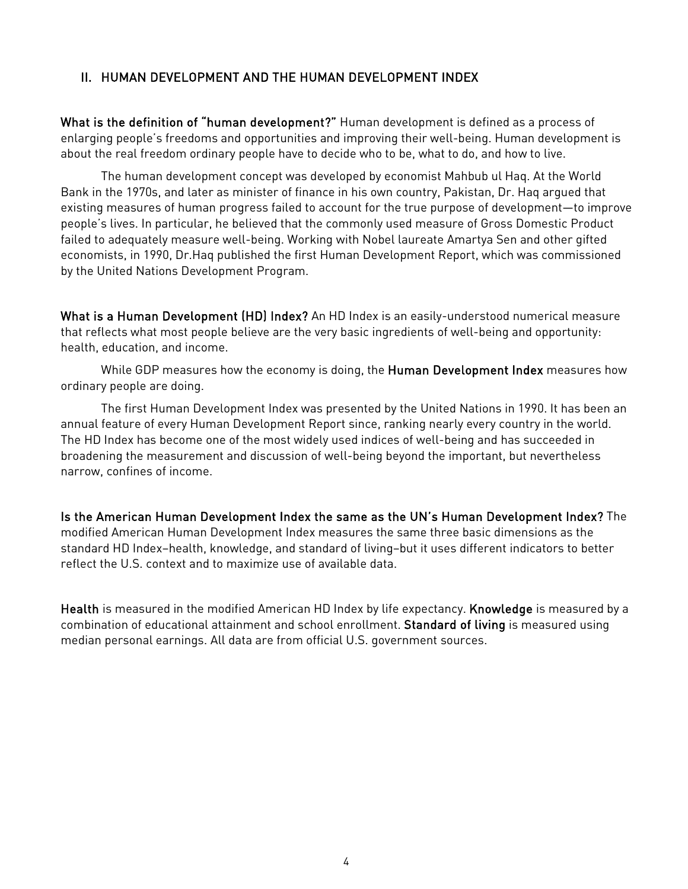### II. HUMAN DEVELOPMENT AND THE HUMAN DEVELOPMENT INDEX

What is the definition of "human development?" Human development is defined as a process of enlarging people's freedoms and opportunities and improving their well-being. Human development is about the real freedom ordinary people have to decide who to be, what to do, and how to live.

The human development concept was developed by economist Mahbub ul Haq. At the World Bank in the 1970s, and later as minister of finance in his own country, Pakistan, Dr. Haq argued that existing measures of human progress failed to account for the true purpose of development—to improve people's lives. In particular, he believed that the commonly used measure of Gross Domestic Product failed to adequately measure well-being. Working with Nobel laureate Amartya Sen and other gifted economists, in 1990, Dr.Haq published the first Human Development Report, which was commissioned by the United Nations Development Program.

What is a Human Development (HD) Index? An HD Index is an easily-understood numerical measure that reflects what most people believe are the very basic ingredients of well-being and opportunity: health, education, and income.

While GDP measures how the economy is doing, the Human Development Index measures how ordinary people are doing.

The first Human Development Index was presented by the United Nations in 1990. It has been an annual feature of every Human Development Report since, ranking nearly every country in the world. The HD Index has become one of the most widely used indices of well-being and has succeeded in broadening the measurement and discussion of well-being beyond the important, but nevertheless narrow, confines of income.

Is the American Human Development Index the same as the UN's Human Development Index? The modified American Human Development Index measures the same three basic dimensions as the standard HD Index–health, knowledge, and standard of living–but it uses different indicators to better reflect the U.S. context and to maximize use of available data.

Health is measured in the modified American HD Index by life expectancy. Knowledge is measured by a combination of educational attainment and school enrollment. Standard of living is measured using median personal earnings. All data are from official U.S. government sources.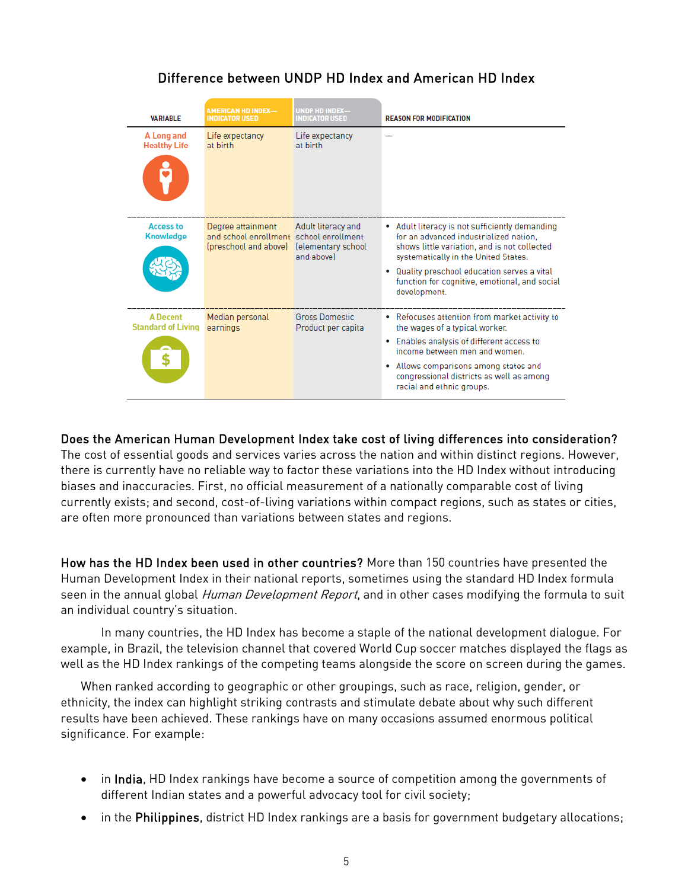## Difference between UNDP HD Index and American HD Index

| <b>VARIABLE</b>                              | AMERICAN HD INDEX-<br><b>INDICATOR USED</b>                                           | UNDP HD INDEX-<br><b>INDICATOR USED</b>                | <b>REASON FOR MODIFICATION</b>                                                                                                                                                   |
|----------------------------------------------|---------------------------------------------------------------------------------------|--------------------------------------------------------|----------------------------------------------------------------------------------------------------------------------------------------------------------------------------------|
| A Long and<br><b>Healthy Life</b>            | Life expectancy<br>at birth                                                           | Life expectancy<br>at birth                            |                                                                                                                                                                                  |
|                                              |                                                                                       |                                                        |                                                                                                                                                                                  |
| <b>Access to</b><br><b>Knowledge</b>         | Degree attainment<br>and school enrollment school enrollment<br>(preschool and above) | Adult literacy and<br>lelementary school<br>and abovel | • Adult literacy is not sufficiently demanding<br>for an advanced industrialized nation.<br>shows little variation, and is not collected<br>systematically in the United States. |
|                                              |                                                                                       |                                                        | Quality preschool education serves a vital<br>function for cognitive, emotional, and social<br>development.                                                                      |
| <b>A</b> Decent<br><b>Standard of Living</b> | Median personal<br>earnings                                                           | <b>Gross Domestic</b><br>Product per capita            | • Refocuses attention from market activity to<br>the wages of a typical worker.                                                                                                  |
|                                              |                                                                                       |                                                        | Enables analysis of different access to<br>income between men and women.                                                                                                         |
|                                              |                                                                                       |                                                        | Allows comparisons among states and<br>۰<br>congressional districts as well as among<br>racial and ethnic groups.                                                                |

#### Does the American Human Development Index take cost of living differences into consideration?

The cost of essential goods and services varies across the nation and within distinct regions. However, there is currently have no reliable way to factor these variations into the HD Index without introducing biases and inaccuracies. First, no official measurement of a nationally comparable cost of living currently exists; and second, cost-of-living variations within compact regions, such as states or cities, are often more pronounced than variations between states and regions.

How has the HD Index been used in other countries? More than 150 countries have presented the Human Development Index in their national reports, sometimes using the standard HD Index formula seen in the annual global Human Development Report, and in other cases modifying the formula to suit an individual country's situation.

In many countries, the HD Index has become a staple of the national development dialogue. For example, in Brazil, the television channel that covered World Cup soccer matches displayed the flags as well as the HD Index rankings of the competing teams alongside the score on screen during the games.

When ranked according to geographic or other groupings, such as race, religion, gender, or ethnicity, the index can highlight striking contrasts and stimulate debate about why such different results have been achieved. These rankings have on many occasions assumed enormous political significance. For example:

- in India, HD Index rankings have become a source of competition among the governments of different Indian states and a powerful advocacy tool for civil society;
- in the Philippines, district HD Index rankings are a basis for government budgetary allocations;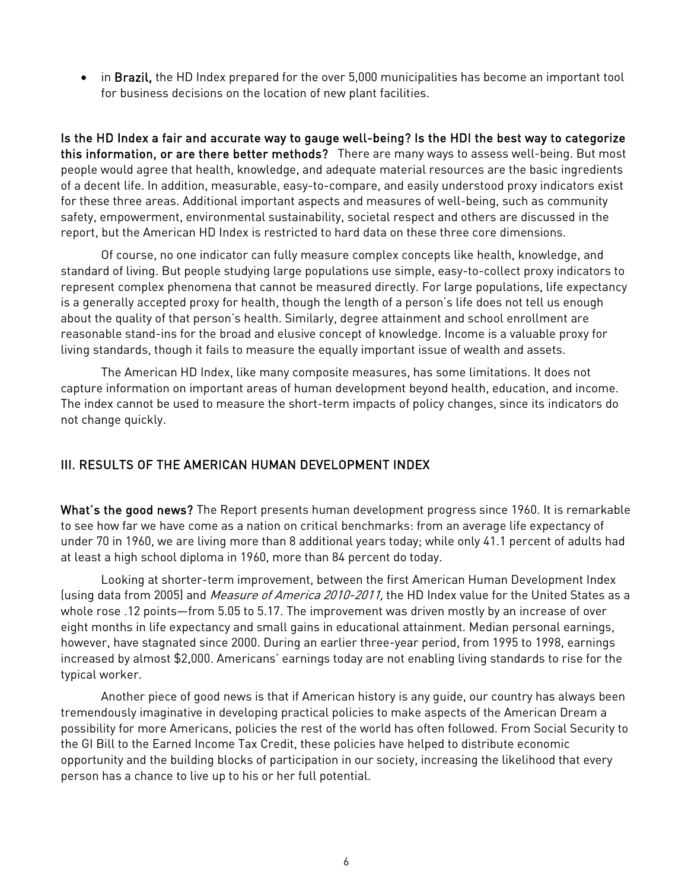• in Brazil, the HD Index prepared for the over 5,000 municipalities has become an important tool for business decisions on the location of new plant facilities.

Is the HD Index a fair and accurate way to gauge well-being? Is the HDI the best way to categorize this information, or are there better methods? There are many ways to assess well-being. But most people would agree that health, knowledge, and adequate material resources are the basic ingredients of a decent life. In addition, measurable, easy-to-compare, and easily understood proxy indicators exist for these three areas. Additional important aspects and measures of well-being, such as community safety, empowerment, environmental sustainability, societal respect and others are discussed in the report, but the American HD Index is restricted to hard data on these three core dimensions.

Of course, no one indicator can fully measure complex concepts like health, knowledge, and standard of living. But people studying large populations use simple, easy-to-collect proxy indicators to represent complex phenomena that cannot be measured directly. For large populations, life expectancy is a generally accepted proxy for health, though the length of a person's life does not tell us enough about the quality of that person's health. Similarly, degree attainment and school enrollment are reasonable stand-ins for the broad and elusive concept of knowledge. Income is a valuable proxy for living standards, though it fails to measure the equally important issue of wealth and assets.

The American HD Index, like many composite measures, has some limitations. It does not capture information on important areas of human development beyond health, education, and income. The index cannot be used to measure the short-term impacts of policy changes, since its indicators do not change quickly.

## III. RESULTS OF THE AMERICAN HUMAN DEVELOPMENT INDEX

What's the good news? The Report presents human development progress since 1960. It is remarkable to see how far we have come as a nation on critical benchmarks: from an average life expectancy of under 70 in 1960, we are living more than 8 additional years today; while only 41.1 percent of adults had at least a high school diploma in 1960, more than 84 percent do today.

Looking at shorter-term improvement, between the first American Human Development Index (using data from 2005) and *Measure of America 2010-2011*, the HD Index value for the United States as a whole rose .12 points—from 5.05 to 5.17. The improvement was driven mostly by an increase of over eight months in life expectancy and small gains in educational attainment. Median personal earnings, however, have stagnated since 2000. During an earlier three-year period, from 1995 to 1998, earnings increased by almost \$2,000. Americans' earnings today are not enabling living standards to rise for the typical worker.

Another piece of good news is that if American history is any guide, our country has always been tremendously imaginative in developing practical policies to make aspects of the American Dream a possibility for more Americans, policies the rest of the world has often followed. From Social Security to the GI Bill to the Earned Income Tax Credit, these policies have helped to distribute economic opportunity and the building blocks of participation in our society, increasing the likelihood that every person has a chance to live up to his or her full potential.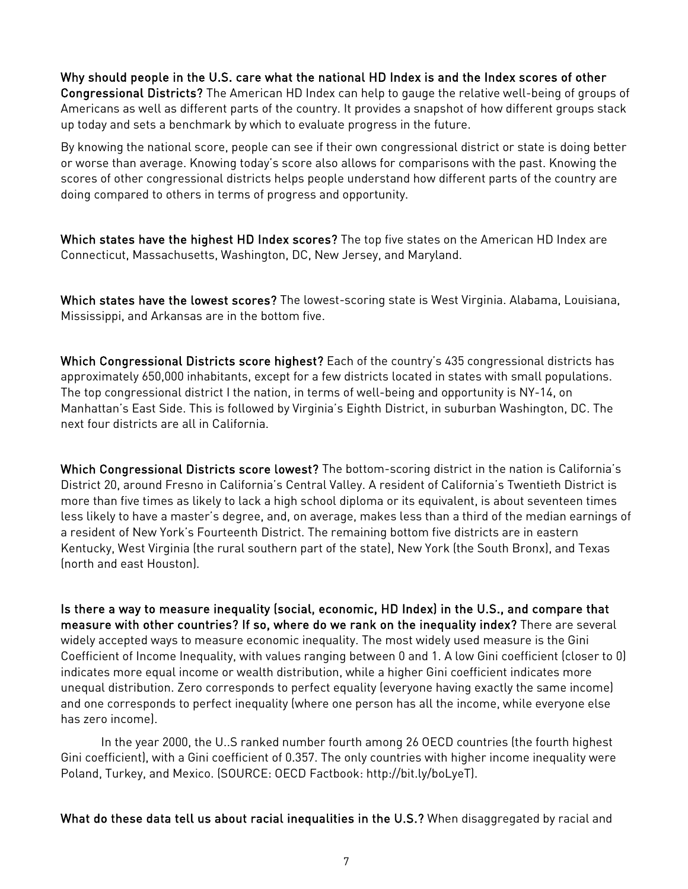Why should people in the U.S. care what the national HD Index is and the Index scores of other Congressional Districts? The American HD Index can help to gauge the relative well-being of groups of Americans as well as different parts of the country. It provides a snapshot of how different groups stack up today and sets a benchmark by which to evaluate progress in the future.

By knowing the national score, people can see if their own congressional district or state is doing better or worse than average. Knowing today's score also allows for comparisons with the past. Knowing the scores of other congressional districts helps people understand how different parts of the country are doing compared to others in terms of progress and opportunity.

Which states have the highest HD Index scores? The top five states on the American HD Index are Connecticut, Massachusetts, Washington, DC, New Jersey, and Maryland.

Which states have the lowest scores? The lowest-scoring state is West Virginia. Alabama, Louisiana, Mississippi, and Arkansas are in the bottom five.

Which Congressional Districts score highest? Each of the country's 435 congressional districts has approximately 650,000 inhabitants, except for a few districts located in states with small populations. The top congressional district I the nation, in terms of well-being and opportunity is NY-14, on Manhattan's East Side. This is followed by Virginia's Eighth District, in suburban Washington, DC. The next four districts are all in California.

Which Congressional Districts score lowest? The bottom-scoring district in the nation is California's District 20, around Fresno in California's Central Valley. A resident of California's Twentieth District is more than five times as likely to lack a high school diploma or its equivalent, is about seventeen times less likely to have a master's degree, and, on average, makes less than a third of the median earnings of a resident of New York's Fourteenth District. The remaining bottom five districts are in eastern Kentucky, West Virginia (the rural southern part of the state), New York (the South Bronx), and Texas (north and east Houston).

Is there a way to measure inequality (social, economic, HD Index) in the U.S., and compare that measure with other countries? If so, where do we rank on the inequality index? There are several widely accepted ways to measure economic inequality. The most widely used measure is the Gini Coefficient of Income Inequality, with values ranging between 0 and 1. A low Gini coefficient (closer to 0) indicates more equal income or wealth distribution, while a higher Gini coefficient indicates more unequal distribution. Zero corresponds to perfect equality (everyone having exactly the same income) and one corresponds to perfect inequality (where one person has all the income, while everyone else has zero income).

In the year 2000, the U..S ranked number fourth among 26 OECD countries (the fourth highest Gini coefficient), with a Gini coefficient of 0.357. The only countries with higher income inequality were Poland, Turkey, and Mexico. (SOURCE: OECD Factbook: http://bit.ly/boLyeT).

What do these data tell us about racial inequalities in the U.S.? When disaggregated by racial and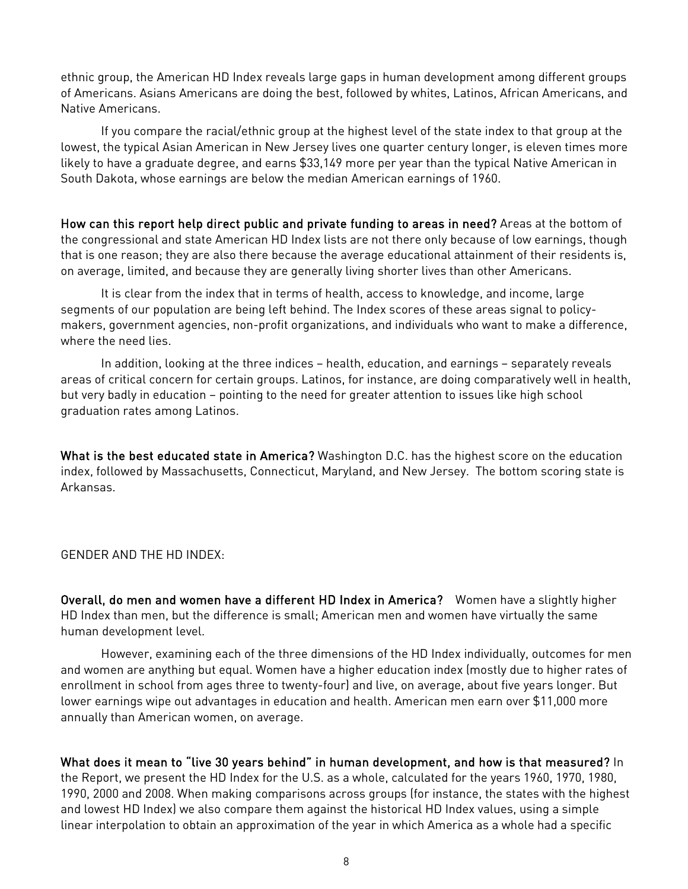ethnic group, the American HD Index reveals large gaps in human development among different groups of Americans. Asians Americans are doing the best, followed by whites, Latinos, African Americans, and Native Americans.

If you compare the racial/ethnic group at the highest level of the state index to that group at the lowest, the typical Asian American in New Jersey lives one quarter century longer, is eleven times more likely to have a graduate degree, and earns \$33,149 more per year than the typical Native American in South Dakota, whose earnings are below the median American earnings of 1960.

How can this report help direct public and private funding to areas in need? Areas at the bottom of the congressional and state American HD Index lists are not there only because of low earnings, though that is one reason; they are also there because the average educational attainment of their residents is, on average, limited, and because they are generally living shorter lives than other Americans.

It is clear from the index that in terms of health, access to knowledge, and income, large segments of our population are being left behind. The Index scores of these areas signal to policymakers, government agencies, non-profit organizations, and individuals who want to make a difference, where the need lies.

In addition, looking at the three indices – health, education, and earnings – separately reveals areas of critical concern for certain groups. Latinos, for instance, are doing comparatively well in health, but very badly in education – pointing to the need for greater attention to issues like high school graduation rates among Latinos.

What is the best educated state in America? Washington D.C. has the highest score on the education index, followed by Massachusetts, Connecticut, Maryland, and New Jersey. The bottom scoring state is Arkansas.

#### GENDER AND THE HD INDEX:

Overall, do men and women have a different HD Index in America? Women have a slightly higher HD Index than men, but the difference is small; American men and women have virtually the same human development level.

However, examining each of the three dimensions of the HD Index individually, outcomes for men and women are anything but equal. Women have a higher education index (mostly due to higher rates of enrollment in school from ages three to twenty-four) and live, on average, about five years longer. But lower earnings wipe out advantages in education and health. American men earn over \$11,000 more annually than American women, on average.

What does it mean to "live 30 years behind" in human development, and how is that measured? In the Report, we present the HD Index for the U.S. as a whole, calculated for the years 1960, 1970, 1980, 1990, 2000 and 2008. When making comparisons across groups (for instance, the states with the highest and lowest HD Index) we also compare them against the historical HD Index values, using a simple linear interpolation to obtain an approximation of the year in which America as a whole had a specific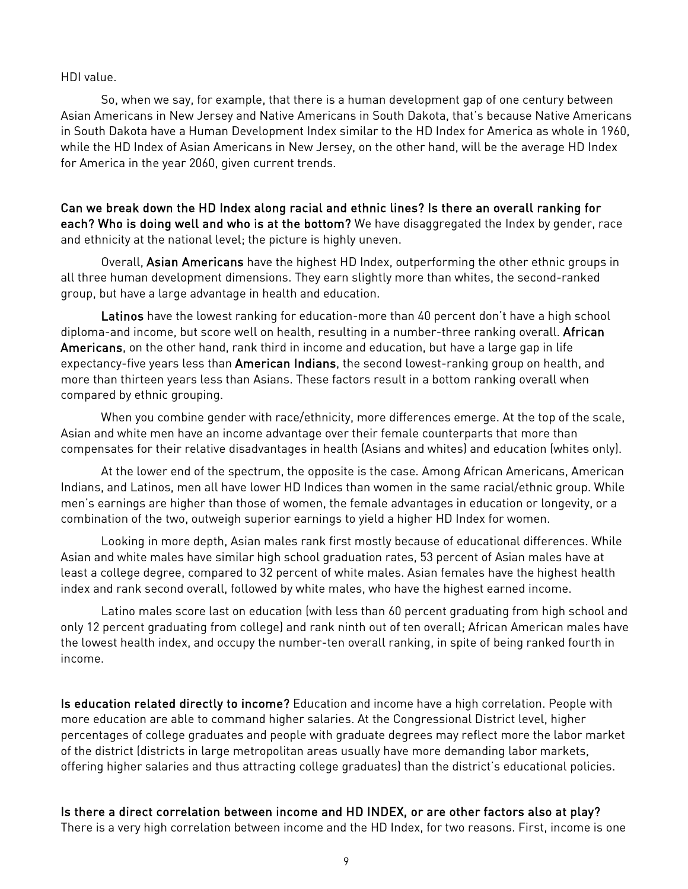#### HDI value.

So, when we say, for example, that there is a human development gap of one century between Asian Americans in New Jersey and Native Americans in South Dakota, that's because Native Americans in South Dakota have a Human Development Index similar to the HD Index for America as whole in 1960, while the HD Index of Asian Americans in New Jersey, on the other hand, will be the average HD Index for America in the year 2060, given current trends.

Can we break down the HD Index along racial and ethnic lines? Is there an overall ranking for each? Who is doing well and who is at the bottom? We have disaggregated the Index by gender, race and ethnicity at the national level; the picture is highly uneven.

Overall, Asian Americans have the highest HD Index, outperforming the other ethnic groups in all three human development dimensions. They earn slightly more than whites, the second-ranked group, but have a large advantage in health and education.

Latinos have the lowest ranking for education-more than 40 percent don't have a high school diploma-and income, but score well on health, resulting in a number-three ranking overall. African Americans, on the other hand, rank third in income and education, but have a large gap in life expectancy-five years less than American Indians, the second lowest-ranking group on health, and more than thirteen years less than Asians. These factors result in a bottom ranking overall when compared by ethnic grouping.

When you combine gender with race/ethnicity, more differences emerge. At the top of the scale, Asian and white men have an income advantage over their female counterparts that more than compensates for their relative disadvantages in health (Asians and whites) and education (whites only).

At the lower end of the spectrum, the opposite is the case. Among African Americans, American Indians, and Latinos, men all have lower HD Indices than women in the same racial/ethnic group. While men's earnings are higher than those of women, the female advantages in education or longevity, or a combination of the two, outweigh superior earnings to yield a higher HD Index for women.

Looking in more depth, Asian males rank first mostly because of educational differences. While Asian and white males have similar high school graduation rates, 53 percent of Asian males have at least a college degree, compared to 32 percent of white males. Asian females have the highest health index and rank second overall, followed by white males, who have the highest earned income.

Latino males score last on education (with less than 60 percent graduating from high school and only 12 percent graduating from college) and rank ninth out of ten overall; African American males have the lowest health index, and occupy the number-ten overall ranking, in spite of being ranked fourth in income.

Is education related directly to income? Education and income have a high correlation. People with more education are able to command higher salaries. At the Congressional District level, higher percentages of college graduates and people with graduate degrees may reflect more the labor market of the district (districts in large metropolitan areas usually have more demanding labor markets, offering higher salaries and thus attracting college graduates) than the district's educational policies.

#### Is there a direct correlation between income and HD INDEX, or are other factors also at play?

There is a very high correlation between income and the HD Index, for two reasons. First, income is one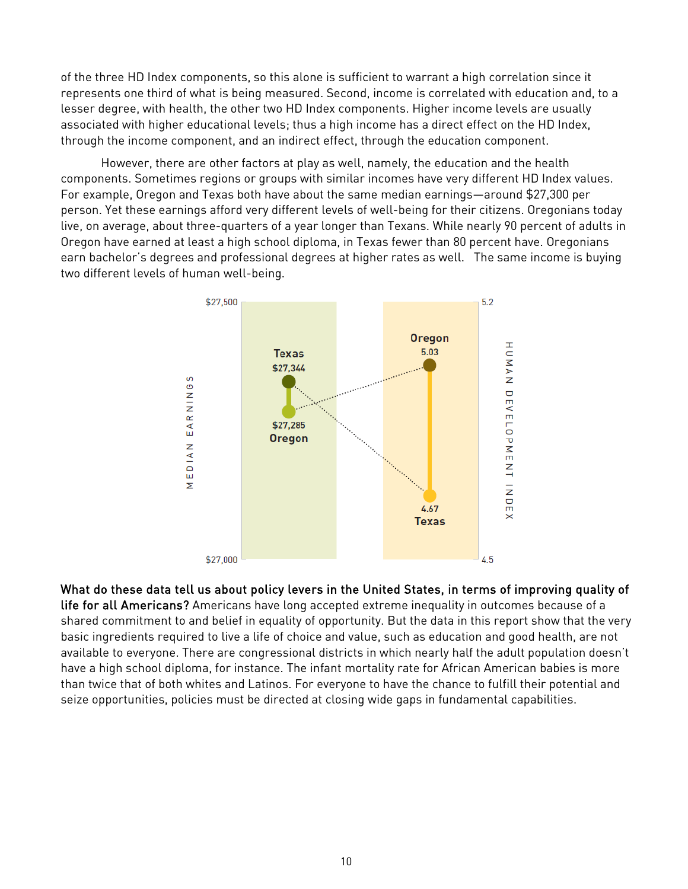of the three HD Index components, so this alone is sufficient to warrant a high correlation since it represents one third of what is being measured. Second, income is correlated with education and, to a lesser degree, with health, the other two HD Index components. Higher income levels are usually associated with higher educational levels; thus a high income has a direct effect on the HD Index, through the income component, and an indirect effect, through the education component.

However, there are other factors at play as well, namely, the education and the health components. Sometimes regions or groups with similar incomes have very different HD Index values. For example, Oregon and Texas both have about the same median earnings—around \$27,300 per person. Yet these earnings afford very different levels of well-being for their citizens. Oregonians today live, on average, about three-quarters of a year longer than Texans. While nearly 90 percent of adults in Oregon have earned at least a high school diploma, in Texas fewer than 80 percent have. Oregonians earn bachelor's degrees and professional degrees at higher rates as well. The same income is buying two different levels of human well-being.



What do these data tell us about policy levers in the United States, in terms of improving quality of

life for all Americans? Americans have long accepted extreme inequality in outcomes because of a shared commitment to and belief in equality of opportunity. But the data in this report show that the very basic ingredients required to live a life of choice and value, such as education and good health, are not available to everyone. There are congressional districts in which nearly half the adult population doesn't have a high school diploma, for instance. The infant mortality rate for African American babies is more than twice that of both whites and Latinos. For everyone to have the chance to fulfill their potential and seize opportunities, policies must be directed at closing wide gaps in fundamental capabilities.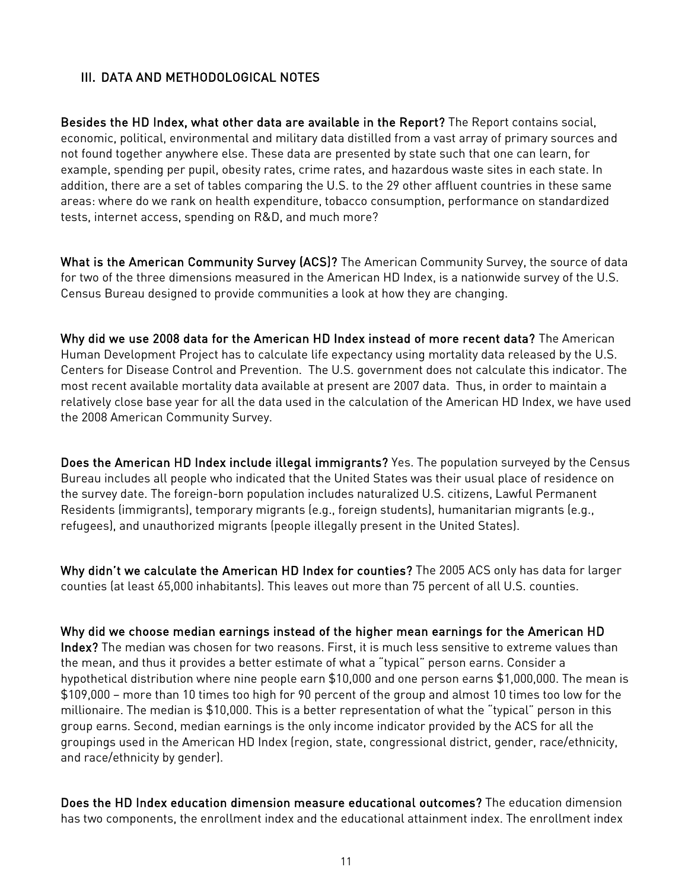## III. DATA AND METHODOLOGICAL NOTES

Besides the HD Index, what other data are available in the Report? The Report contains social, economic, political, environmental and military data distilled from a vast array of primary sources and not found together anywhere else. These data are presented by state such that one can learn, for example, spending per pupil, obesity rates, crime rates, and hazardous waste sites in each state. In addition, there are a set of tables comparing the U.S. to the 29 other affluent countries in these same areas: where do we rank on health expenditure, tobacco consumption, performance on standardized tests, internet access, spending on R&D, and much more?

What is the American Community Survey (ACS)? The American Community Survey, the source of data for two of the three dimensions measured in the American HD Index, is a nationwide survey of the U.S. Census Bureau designed to provide communities a look at how they are changing.

Why did we use 2008 data for the American HD Index instead of more recent data? The American Human Development Project has to calculate life expectancy using mortality data released by the U.S. Centers for Disease Control and Prevention. The U.S. government does not calculate this indicator. The most recent available mortality data available at present are 2007 data. Thus, in order to maintain a relatively close base year for all the data used in the calculation of the American HD Index, we have used the 2008 American Community Survey.

Does the American HD Index include illegal immigrants? Yes. The population surveyed by the Census Bureau includes all people who indicated that the United States was their usual place of residence on the survey date. The foreign-born population includes naturalized U.S. citizens, Lawful Permanent Residents (immigrants), temporary migrants (e.g., foreign students), humanitarian migrants (e.g., refugees), and unauthorized migrants (people illegally present in the United States).

Why didn't we calculate the American HD Index for counties? The 2005 ACS only has data for larger counties (at least 65,000 inhabitants). This leaves out more than 75 percent of all U.S. counties.

Why did we choose median earnings instead of the higher mean earnings for the American HD Index? The median was chosen for two reasons. First, it is much less sensitive to extreme values than the mean, and thus it provides a better estimate of what a "typical" person earns. Consider a hypothetical distribution where nine people earn \$10,000 and one person earns \$1,000,000. The mean is \$109,000 – more than 10 times too high for 90 percent of the group and almost 10 times too low for the millionaire. The median is \$10,000. This is a better representation of what the "typical" person in this group earns. Second, median earnings is the only income indicator provided by the ACS for all the groupings used in the American HD Index (region, state, congressional district, gender, race/ethnicity, and race/ethnicity by gender).

Does the HD Index education dimension measure educational outcomes? The education dimension has two components, the enrollment index and the educational attainment index. The enrollment index